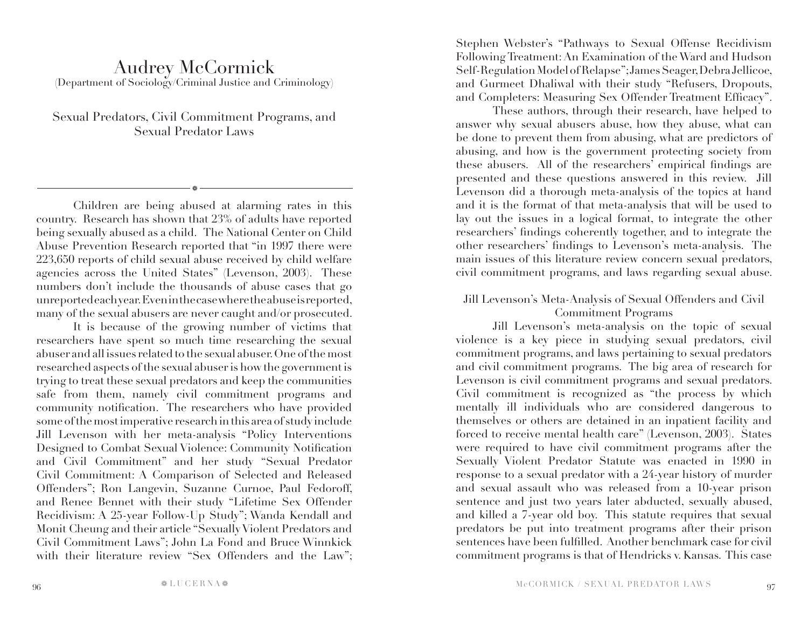# Audrey McCormick (Department of Sociology/Criminal Justice and Criminology)

Sexual Predators, Civil Commitment Programs, and Sexual Predator Laws

a

Children are being abused at alarming rates in this country. Research has shown that 23% of adults have reported being sexually abused as a child. The National Center on Child Abuse Prevention Research reported that "in 1997 there were 223,650 reports of child sexual abuse received by child welfare agencies across the United States" (Levenson, 2003). These numbers don't include the thousands of abuse cases that go unreported each year. Even in the case where the abuse is reported, many of the sexual abusers are never caught and/or prosecuted.

It is because of the growing number of victims that researchers have spent so much time researching the sexual abuser and all issues related to the sexual abuser. One of the most researched aspects of the sexual abuser is how the government is trying to treat these sexual predators and keep the communities safe from them, namely civil commitment programs and community notification. The researchers who have provided some of the most imperative research in this area of study include Jill Levenson with her meta-analysis "Policy Interventions Designed to Combat Sexual Violence: Community Notification and Civil Commitment" and her study "Sexual Predator Civil Commitment: A Comparison of Selected and Released Offenders"; Ron Langevin, Suzanne Curnoe, Paul Fedoroff, and Renee Bennet with their study "Lifetime Sex Offender Recidivism: A 25-year Follow-Up Study"; Wanda Kendall and Monit Cheung and their article "Sexually Violent Predators and Civil Commitment Laws"; John La Fond and Bruce Winnkick with their literature review "Sex Offenders and the Law"; Stephen Webster's "Pathways to Sexual Offense Recidivism Following Treatment: An Examination of the Ward and Hudson Self-Regulation Model of Relapse"; James Seager, Debra Jellicoe, and Gurmeet Dhaliwal with their study "Refusers, Dropouts, and Completers: Measuring Sex Offender Treatment Efficacy".

These authors, through their research, have helped to answer why sexual abusers abuse, how they abuse, what can be done to prevent them from abusing, what are predictors of abusing, and how is the government protecting society from these abusers. All of the researchers' empirical findings are presented and these questions answered in this review. Jill Levenson did a thorough meta-analysis of the topics at hand and it is the format of that meta-analysis that will be used to lay out the issues in a logical format, to integrate the other researchers' findings coherently together, and to integrate the other researchers' findings to Levenson's meta-analysis. The main issues of this literature review concern sexual predators, civil commitment programs, and laws regarding sexual abuse.

Jill Levenson's Meta-Analysis of Sexual Offenders and Civil Commitment Programs

Jill Levenson's meta-analysis on the topic of sexual violence is a key piece in studying sexual predators, civil commitment programs, and laws pertaining to sexual predators and civil commitment programs. The big area of research for Levenson is civil commitment programs and sexual predators. Civil commitment is recognized as "the process by which mentally ill individuals who are considered dangerous to themselves or others are detained in an inpatient facility and forced to receive mental health care" (Levenson, 2003). States were required to have civil commitment programs after the Sexually Violent Predator Statute was enacted in 1990 in response to a sexual predator with a 24-year history of murder and sexual assault who was released from a 10-year prison sentence and just two years later abducted, sexually abused, and killed a 7-year old boy. This statute requires that sexual predators be put into treatment programs after their prison sentences have been fulfilled. Another benchmark case for civil commitment programs is that of Hendricks v. Kansas. This case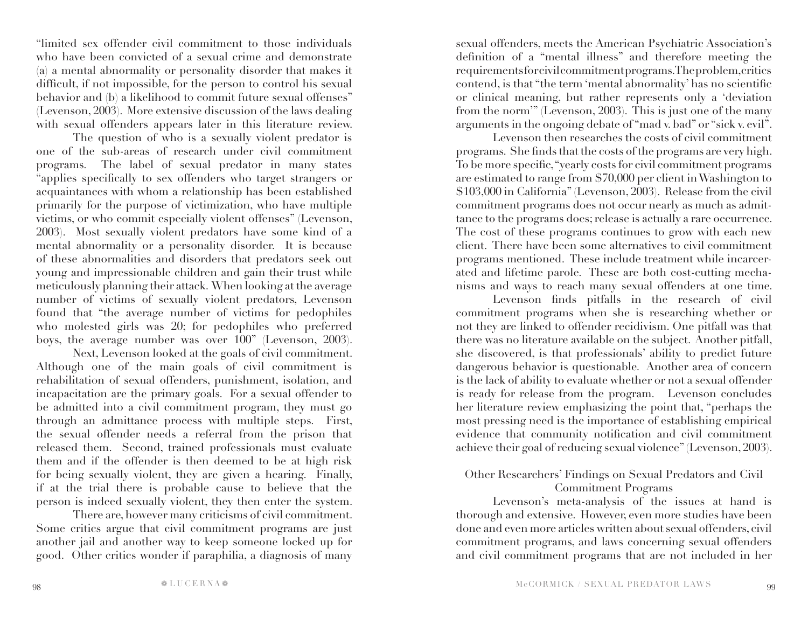"limited sex offender civil commitment to those individuals who have been convicted of a sexual crime and demonstrate (a) a mental abnormality or personality disorder that makes it difficult, if not impossible, for the person to control his sexual behavior and (b) a likelihood to commit future sexual offenses" (Levenson, 2003). More extensive discussion of the laws dealing with sexual offenders appears later in this literature review.

The question of who is a sexually violent predator is one of the sub-areas of research under civil commitment programs. The label of sexual predator in many states "applies specifically to sex offenders who target strangers or acquaintances with whom a relationship has been established primarily for the purpose of victimization, who have multiple victims, or who commit especially violent offenses" (Levenson, 2003). Most sexually violent predators have some kind of a mental abnormality or a personality disorder. It is because of these abnormalities and disorders that predators seek out young and impressionable children and gain their trust while meticulously planning their attack. When looking at the average number of victims of sexually violent predators, Levenson found that "the average number of victims for pedophiles who molested girls was 20; for pedophiles who preferred boys, the average number was over 100" (Levenson, 2003).

Next, Levenson looked at the goals of civil commitment. Although one of the main goals of civil commitment is rehabilitation of sexual offenders, punishment, isolation, and incapacitation are the primary goals. For a sexual offender to be admitted into a civil commitment program, they must go through an admittance process with multiple steps. First, the sexual offender needs a referral from the prison that released them. Second, trained professionals must evaluate them and if the offender is then deemed to be at high risk for being sexually violent, they are given a hearing. Finally, if at the trial there is probable cause to believe that the person is indeed sexually violent, they then enter the system.

There are, however many criticisms of civil commitment. Some critics argue that civil commitment programs are just another jail and another way to keep someone locked up for good. Other critics wonder if paraphilia, a diagnosis of many

sexual offenders, meets the American Psychiatric Association's definition of a "mental illness" and therefore meeting the requirements for civil commitment programs. The problem, critics contend, is that "the term 'mental abnormality' has no scientific or clinical meaning, but rather represents only a 'deviation from the norm'" (Levenson, 2003). This is just one of the many arguments in the ongoing debate of "mad v. bad" or "sick v. evil".

Levenson then researches the costs of civil commitment programs. She finds that the costs of the programs are very high. To be more specific, "yearly costs for civil commitment programs are estimated to range from \$70,000 per client in Washington to \$103,000 in California" (Levenson, 2003). Release from the civil commitment programs does not occur nearly as much as admittance to the programs does; release is actually a rare occurrence. The cost of these programs continues to grow with each new client. There have been some alternatives to civil commitment programs mentioned. These include treatment while incarcerated and lifetime parole. These are both cost-cutting mechanisms and ways to reach many sexual offenders at one time.

Levenson finds pitfalls in the research of civil commitment programs when she is researching whether or not they are linked to offender recidivism. One pitfall was that there was no literature available on the subject. Another pitfall, she discovered, is that professionals' ability to predict future dangerous behavior is questionable. Another area of concern is the lack of ability to evaluate whether or not a sexual offender is ready for release from the program. Levenson concludes her literature review emphasizing the point that, "perhaps the most pressing need is the importance of establishing empirical evidence that community notification and civil commitment achieve their goal of reducing sexual violence" (Levenson, 2003).

## Other Researchers' Findings on Sexual Predators and Civil Commitment Programs

Levenson's meta-analysis of the issues at hand is thorough and extensive. However, even more studies have been done and even more articles written about sexual offenders, civil commitment programs, and laws concerning sexual offenders and civil commitment programs that are not included in her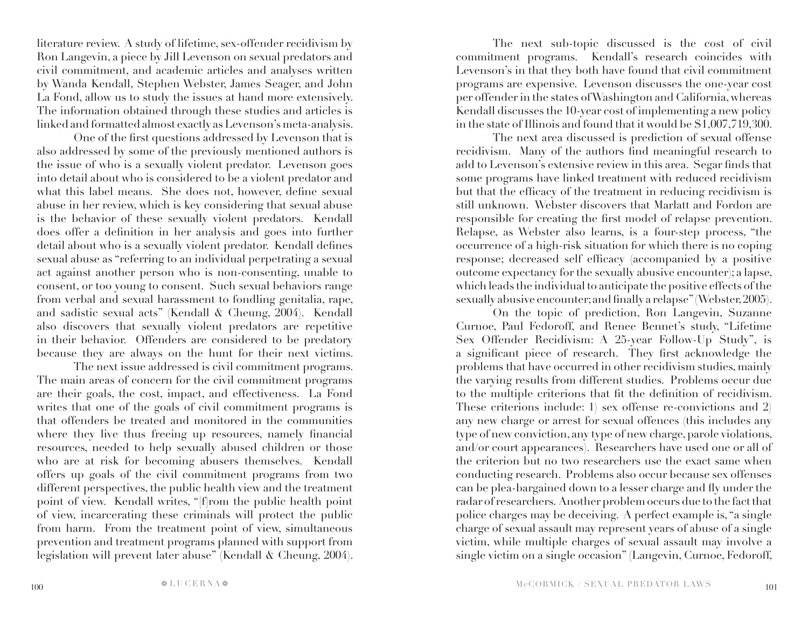literature review. A study of lifetime, sex-offender recidivism by Ron Langevin, a piece by Jill Levenson on sexual predators and civil commitment, and academic articles and analyses written by Wanda Kendall, Stephen Webster, James Seager, and John La Fond, allow us to study the issues at hand more extensively. The information obtained through these studies and articles is linked and formatted almost exactly as Levenson's meta-analysis.

One of the first questions addressed by Levenson that is also addressed by some of the previously mentioned authors is the issue of who is a sexually violent predator. Levenson goes into detail about who is considered to be a violent predator and what this label means. She does not, however, define sexual abuse in her review, which is key considering that sexual abuse is the behavior of these sexually violent predators. Kendall does offer a definition in her analysis and goes into further detail about who is a sexually violent predator. Kendall defines sexual abuse as "referring to an individual perpetrating a sexual act against another person who is non-consenting, unable to consent, or too young to consent. Such sexual behaviors range from verbal and sexual harassment to fondling genitalia, rape, and sadistic sexual acts" (Kendall & Cheung, 2004). Kendall also discovers that sexually violent predators are repetitive in their behavior. Offenders are considered to be predatory because they are always on the hunt for their next victims.

The next issue addressed is civil commitment programs. The main areas of concern for the civil commitment programs are their goals, the cost, impact, and effectiveness. La Fond writes that one of the goals of civil commitment programs is that offenders be treated and monitored in the communities where they live thus freeing up resources, namely financial resources, needed to help sexually abused children or those who are at risk for becoming abusers themselves. Kendall offers up goals of the civil commitment programs from two different perspectives, the public health view and the treatment point of view. Kendall writes, "[f]rom the public health point of view, incarcerating these criminals will protect the public from harm. From the treatment point of view, simultaneous prevention and treatment programs planned with support from legislation will prevent later abuse" (Kendall & Cheung, 2004).

The next sub-topic discussed is the cost of civil commitment programs. Kendall's research coincides with Levenson's in that they both have found that civil commitment programs are expensive. Levenson discusses the one-year cost per offender in the states of Washington and California, whereas Kendall discusses the 10-year cost of implementing a new policy in the state of Illinois and found that it would be \$1,007,719,300.

The next area discussed is prediction of sexual offense recidivism. Many of the authors find meaningful research to add to Levenson's extensive review in this area. Segar finds that some programs have linked treatment with reduced recidivism but that the efficacy of the treatment in reducing recidivism is still unknown. Webster discovers that Marlatt and Fordon are responsible for creating the first model of relapse prevention. Relapse, as Webster also learns, is a four-step process, "the occurrence of a high-risk situation for which there is no coping response; decreased self efficacy (accompanied by a positive outcome expectancy for the sexually abusive encounter); a lapse, which leads the individual to anticipate the positive effects of the sexually abusive encounter; and finally a relapse" (Webster, 2005).

On the topic of prediction, Ron Langevin, Suzanne Curnoe, Paul Fedoroff, and Renee Bennet's study, "Lifetime Sex Offender Recidivism: A 25-year Follow-Up Study", is a significant piece of research. They first acknowledge the problems that have occurred in other recidivism studies, mainly the varying results from different studies. Problems occur due to the multiple criterions that fit the definition of recidivism. These criterions include: 1) sex offense re-convictions and 2) any new charge or arrest for sexual offences (this includes any type of new conviction, any type of new charge, parole violations, and/or court appearances). Researchers have used one or all of the criterion but no two researchers use the exact same when conducting research. Problems also occur because sex offenses can be plea-bargained down to a lesser charge and fly under the radar of researchers. Another problem occurs due to the fact that police charges may be deceiving. A perfect example is, "a single charge of sexual assault may represent years of abuse of a single victim, while multiple charges of sexual assault may involve a single victim on a single occasion" (Langevin, Curnoe, Fedoroff,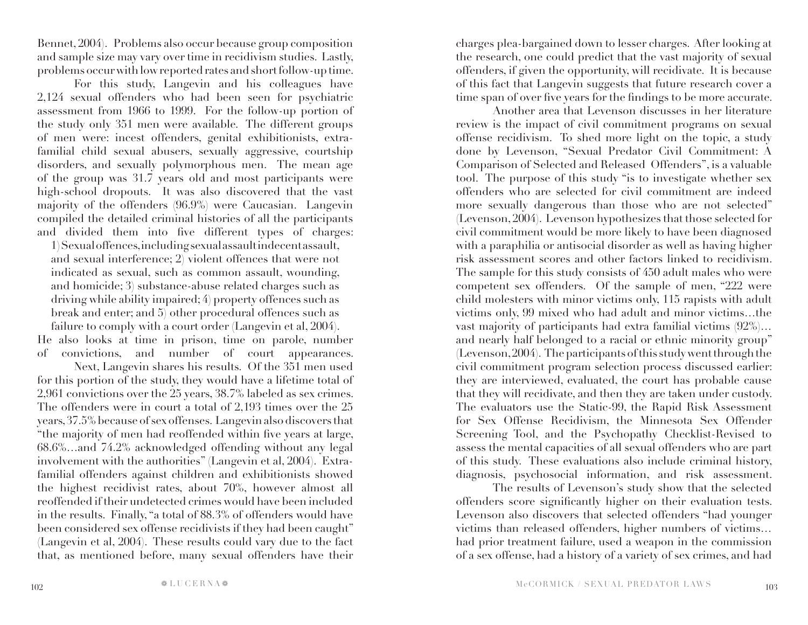Bennet, 2004). Problems also occur because group composition and sample size may vary over time in recidivism studies. Lastly, problems occur with low reported rates and short follow-up time.

For this study, Langevin and his colleagues have 2,124 sexual offenders who had been seen for psychiatric assessment from 1966 to 1999. For the follow-up portion of the study only 351 men were available. The different groups of men were: incest offenders, genital exhibitionists, extrafamilial child sexual abusers, sexually aggressive, courtship disorders, and sexually polymorphous men. The mean age of the group was 31.7 years old and most participants were high-school dropouts. It was also discovered that the vast majority of the offenders (96.9%) were Caucasian. Langevin compiled the detailed criminal histories of all the participants and divided them into five different types of charges:

1) Sexual offences, including sexual assault indecent assault, and sexual interference; 2) violent offences that were not indicated as sexual, such as common assault, wounding, and homicide; 3) substance-abuse related charges such as driving while ability impaired; 4) property offences such as break and enter; and 5) other procedural offences such as failure to comply with a court order (Langevin et al, 2004).

He also looks at time in prison, time on parole, number of convictions, and number of court appearances.

Next, Langevin shares his results. Of the 351 men used for this portion of the study, they would have a lifetime total of 2,961 convictions over the 25 years, 38.7% labeled as sex crimes. The offenders were in court a total of 2,193 times over the 25 years, 37.5% because of sex offenses. Langevin also discovers that "the majority of men had reoffended within five years at large, 68.6%…and 74.2% acknowledged offending without any legal involvement with the authorities" (Langevin et al, 2004). Extrafamilial offenders against children and exhibitionists showed the highest recidivist rates, about 70%, however almost all reoffended if their undetected crimes would have been included in the results. Finally, "a total of 88.3% of offenders would have been considered sex offense recidivists if they had been caught" (Langevin et al, 2004). These results could vary due to the fact that, as mentioned before, many sexual offenders have their

charges plea-bargained down to lesser charges. After looking at the research, one could predict that the vast majority of sexual offenders, if given the opportunity, will recidivate. It is because of this fact that Langevin suggests that future research cover a time span of over five years for the findings to be more accurate.

Another area that Levenson discusses in her literature review is the impact of civil commitment programs on sexual offense recidivism. To shed more light on the topic, a study done by Levenson, "Sexual Predator Civil Commitment: A Comparison of Selected and Released Offenders", is a valuable tool. The purpose of this study "is to investigate whether sex offenders who are selected for civil commitment are indeed more sexually dangerous than those who are not selected" (Levenson, 2004). Levenson hypothesizes that those selected for civil commitment would be more likely to have been diagnosed with a paraphilia or antisocial disorder as well as having higher risk assessment scores and other factors linked to recidivism. The sample for this study consists of 450 adult males who were competent sex offenders. Of the sample of men, "222 were child molesters with minor victims only, 115 rapists with adult victims only, 99 mixed who had adult and minor victims…the vast majority of participants had extra familial victims (92%)… and nearly half belonged to a racial or ethnic minority group" (Levenson, 2004). The participants of this study went through the civil commitment program selection process discussed earlier: they are interviewed, evaluated, the court has probable cause that they will recidivate, and then they are taken under custody. The evaluators use the Static-99, the Rapid Risk Assessment for Sex Offense Recidivism, the Minnesota Sex Offender Screening Tool, and the Psychopathy Checklist-Revised to assess the mental capacities of all sexual offenders who are part of this study. These evaluations also include criminal history, diagnosis, psychosocial information, and risk assessment.

The results of Levenson's study show that the selected offenders score significantly higher on their evaluation tests. Levenson also discovers that selected offenders "had younger victims than released offenders, higher numbers of victims… had prior treatment failure, used a weapon in the commission of a sex offense, had a history of a variety of sex crimes, and had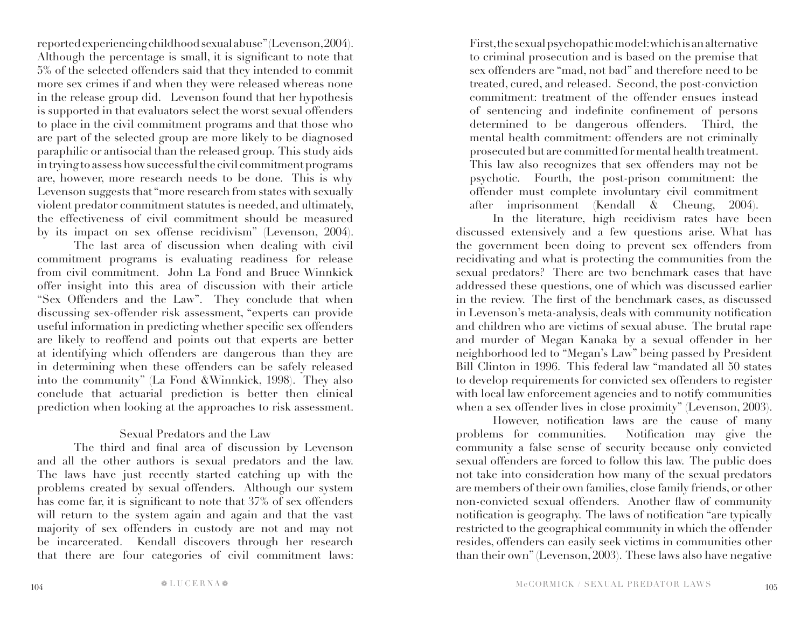reported experiencing childhood sexual abuse" (Levenson, 2004). Although the percentage is small, it is significant to note that 5% of the selected offenders said that they intended to commit more sex crimes if and when they were released whereas none in the release group did. Levenson found that her hypothesis is supported in that evaluators select the worst sexual offenders to place in the civil commitment programs and that those who are part of the selected group are more likely to be diagnosed paraphilic or antisocial than the released group. This study aids in trying to assess how successful the civil commitment programs are, however, more research needs to be done. This is why Levenson suggests that "more research from states with sexually violent predator commitment statutes is needed, and ultimately, the effectiveness of civil commitment should be measured by its impact on sex offense recidivism" (Levenson, 2004).

The last area of discussion when dealing with civil commitment programs is evaluating readiness for release from civil commitment. John La Fond and Bruce Winnkick offer insight into this area of discussion with their article "Sex Offenders and the Law". They conclude that when discussing sex-offender risk assessment, "experts can provide useful information in predicting whether specific sex offenders are likely to reoffend and points out that experts are better at identifying which offenders are dangerous than they are in determining when these offenders can be safely released into the community" (La Fond &Winnkick, 1998). They also conclude that actuarial prediction is better then clinical prediction when looking at the approaches to risk assessment.

## Sexual Predators and the Law

The third and final area of discussion by Levenson and all the other authors is sexual predators and the law. The laws have just recently started catching up with the problems created by sexual offenders. Although our system has come far, it is significant to note that 37% of sex offenders will return to the system again and again and that the vast majority of sex offenders in custody are not and may not be incarcerated. Kendall discovers through her research that there are four categories of civil commitment laws: First, the sexual psychopathic model: which is an alternative to criminal prosecution and is based on the premise that sex offenders are "mad, not bad" and therefore need to be treated, cured, and released. Second, the post-conviction commitment: treatment of the offender ensues instead of sentencing and indefinite confinement of persons determined to be dangerous offenders. Third, the mental health commitment: offenders are not criminally prosecuted but are committed for mental health treatment. This law also recognizes that sex offenders may not be psychotic. Fourth, the post-prison commitment: the offender must complete involuntary civil commitment after imprisonment (Kendall & Cheung, 2004).

In the literature, high recidivism rates have been discussed extensively and a few questions arise. What has the government been doing to prevent sex offenders from recidivating and what is protecting the communities from the sexual predators? There are two benchmark cases that have addressed these questions, one of which was discussed earlier in the review. The first of the benchmark cases, as discussed in Levenson's meta-analysis, deals with community notification and children who are victims of sexual abuse. The brutal rape and murder of Megan Kanaka by a sexual offender in her neighborhood led to "Megan's Law" being passed by President Bill Clinton in 1996. This federal law "mandated all 50 states to develop requirements for convicted sex offenders to register with local law enforcement agencies and to notify communities when a sex offender lives in close proximity" (Levenson, 2003).

However, notification laws are the cause of many problems for communities. Notification may give the community a false sense of security because only convicted sexual offenders are forced to follow this law. The public does not take into consideration how many of the sexual predators are members of their own families, close family friends, or other non-convicted sexual offenders. Another flaw of community notification is geography. The laws of notification "are typically restricted to the geographical community in which the offender resides, offenders can easily seek victims in communities other than their own" (Levenson, 2003). These laws also have negative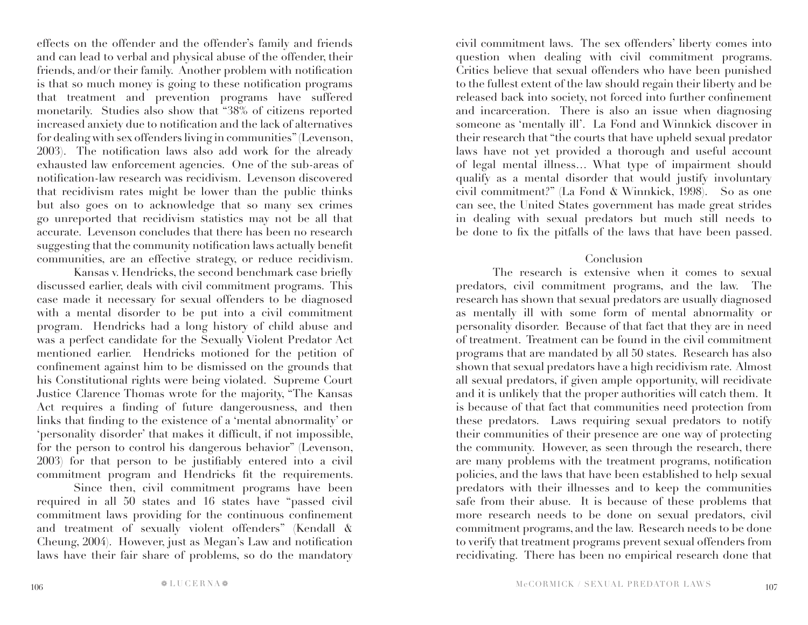effects on the offender and the offender's family and friends and can lead to verbal and physical abuse of the offender, their friends, and/or their family. Another problem with notification is that so much money is going to these notification programs that treatment and prevention programs have suffered monetarily. Studies also show that "38% of citizens reported increased anxiety due to notification and the lack of alternatives for dealing with sex offenders living in communities" (Levenson, 2003). The notification laws also add work for the already exhausted law enforcement agencies. One of the sub-areas of notification-law research was recidivism. Levenson discovered that recidivism rates might be lower than the public thinks but also goes on to acknowledge that so many sex crimes go unreported that recidivism statistics may not be all that accurate. Levenson concludes that there has been no research suggesting that the community notification laws actually benefit communities, are an effective strategy, or reduce recidivism.

Kansas v. Hendricks, the second benchmark case briefly discussed earlier, deals with civil commitment programs. This case made it necessary for sexual offenders to be diagnosed with a mental disorder to be put into a civil commitment program. Hendricks had a long history of child abuse and was a perfect candidate for the Sexually Violent Predator Act mentioned earlier. Hendricks motioned for the petition of confinement against him to be dismissed on the grounds that his Constitutional rights were being violated. Supreme Court Justice Clarence Thomas wrote for the majority, "The Kansas Act requires a finding of future dangerousness, and then links that finding to the existence of a 'mental abnormality' or 'personality disorder' that makes it difficult, if not impossible, for the person to control his dangerous behavior" (Levenson, 2003) for that person to be justifiably entered into a civil commitment program and Hendricks fit the requirements.

Since then, civil commitment programs have been required in all 50 states and 16 states have "passed civil commitment laws providing for the continuous confinement and treatment of sexually violent offenders" (Kendall & Cheung, 2004). However, just as Megan's Law and notification laws have their fair share of problems, so do the mandatory

civil commitment laws. The sex offenders' liberty comes into question when dealing with civil commitment programs. Critics believe that sexual offenders who have been punished to the fullest extent of the law should regain their liberty and be released back into society, not forced into further confinement and incarceration. There is also an issue when diagnosing someone as 'mentally ill'. La Fond and Winnkick discover in their research that "the courts that have upheld sexual predator laws have not yet provided a thorough and useful account of legal mental illness… What type of impairment should qualify as a mental disorder that would justify involuntary civil commitment?" (La Fond & Winnkick, 1998). So as one can see, the United States government has made great strides in dealing with sexual predators but much still needs to be done to fix the pitfalls of the laws that have been passed.

#### Conclusion

The research is extensive when it comes to sexual predators, civil commitment programs, and the law. The research has shown that sexual predators are usually diagnosed as mentally ill with some form of mental abnormality or personality disorder. Because of that fact that they are in need of treatment. Treatment can be found in the civil commitment programs that are mandated by all 50 states. Research has also shown that sexual predators have a high recidivism rate. Almost all sexual predators, if given ample opportunity, will recidivate and it is unlikely that the proper authorities will catch them. It is because of that fact that communities need protection from these predators. Laws requiring sexual predators to notify their communities of their presence are one way of protecting the community. However, as seen through the research, there are many problems with the treatment programs, notification policies, and the laws that have been established to help sexual predators with their illnesses and to keep the communities safe from their abuse. It is because of these problems that more research needs to be done on sexual predators, civil commitment programs, and the law. Research needs to be done to verify that treatment programs prevent sexual offenders from recidivating. There has been no empirical research done that